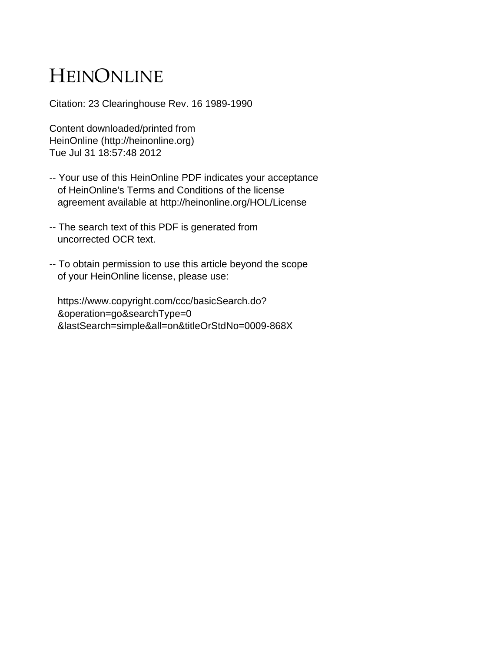## HEINONLINE

Citation: 23 Clearinghouse Rev. 16 1989-1990

Content downloaded/printed from HeinOnline (http://heinonline.org) Tue Jul 31 18:57:48 2012

- -- Your use of this HeinOnline PDF indicates your acceptance of HeinOnline's Terms and Conditions of the license agreement available at http://heinonline.org/HOL/License
- -- The search text of this PDF is generated from uncorrected OCR text.
- -- To obtain permission to use this article beyond the scope of your HeinOnline license, please use:

 https://www.copyright.com/ccc/basicSearch.do? &operation=go&searchType=0 &lastSearch=simple&all=on&titleOrStdNo=0009-868X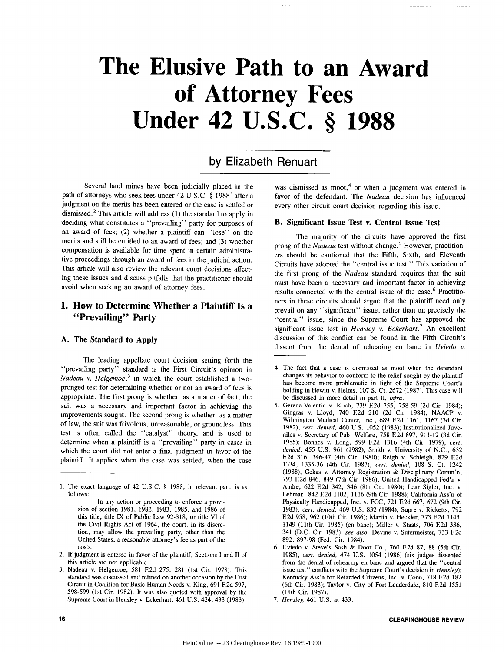# **The Elusive Path to an Award of Attorney Fees Under 42 U.S.C. § 1988**

## **by** Elizabeth Renuart

Several land mines have been judicially placed in the path of attorneys who seek fees under 42 U.S.C. **§** 19881 after a judgment on the merits has been entered or the case is settled or dismissed.<sup>2</sup> This article will address  $(1)$  the standard to apply in deciding what constitutes a "prevailing" party for purposes of an award of fees; (2) whether a plaintiff can "lose" on the merits and still be entitled to an award of fees; and (3) whether compensation is available for time spent in certain administrative proceedings through an award of fees in the judicial action. This article will also review the relevant court decisions affecting these issues and discuss pitfalls that the practitioner should avoid when seeking an award of attorney fees.

## **I. How to Determine Whether a Plaintiff Is a "Prevailing" Party**

#### **A. The Standard to Apply**

The leading appellate court decision setting forth the "prevailing party" standard is the First Circuit's opinion in *Nadeau v. Helgemoe*,<sup>3</sup> in which the court established a twopronged test for determining whether or not an award of fees is appropriate. The first prong is whether, as a matter of fact, the suit was a necessary and important factor in achieving the improvements sought. The second prong is whether, as a matter of law, the suit was frivolous, unreasonable, or groundless. This test is often called the "catalyst" theory, and is used to determine when a plaintiff is a "prevailing" party in cases in which the court did not enter a final judgment in favor of the plaintiff. It applies when the case was settled, when the case

In any action or proceeding to enforce a provision of section 1981, 1982, 1983, 1985, and 1986 of this title, title IX of Public Law 92-318, or title VI of the Civil Rights Act of 1964, the court, in its discretion, may allow the prevailing party, other than the United States, a reasonable attorney's fee as part of the costs.

- 2. If judgment is entered in favor of the plaintiff, Sections I and II of this article are not applicable.
- 3. Nadeau v. Helgemoe, 581 **F2d** 275, 281 (1st Cir. 1978). This standard was discussed and refined on another occasion by the First Circuit in Coalition for Basic Human Needs v. King, 691 **E2d** 597, 598-599 (1st Cir. 1982). It was also quoted with approval by the Supreme Court in Hensley v. Eckerhart, 461 U.S. 424, 433 (1983).

was dismissed as moot,<sup>4</sup> or when a judgment was entered in favor of the defendant. The *Nadeau* decision has influenced every other circuit court decision regarding this issue.

#### **B. Significant Issue Test v. Central Issue Test**

The majority of the circuits have approved the first prong of the *Nadeau* test without change. 5 However, practitioners should be cautioned that the Fifth, Sixth, and Eleventh Circuits have adopted the "central issue test." This variation of the first prong of the *Nadeau* standard requires that the suit must have been a necessary and important factor in achieving results connected with the central issue of the case.<sup>6</sup> Practitioners in these circuits should argue that the plaintiff need only prevail on any "significant" issue, rather than on precisely the "central" issue, since the Supreme Court has approved the significant issue test in *Hensley v. Eckerhart.7* An excellent discussion of this conflict can be found in the Fifth Circuit's dissent from the denial of rehearing en banc in *Uviedo v.*

<sup>1.</sup> The exact language of 42 U.S.C. § 1988, in relevant part, is as follows:

<sup>4.</sup> The fact that a case is dismissed as moot when the defendant changes its behavior to conform to the relief sought by the plaintiff has become more problematic in light of the Supreme Court's holding in Hewitt v. Helms, 107 **S.** Ct. 2672 (1987). This case will be discussed in more detail in part II, *infra.*

<sup>5.</sup> Gerena-Valentin v. Koch, 739 **E2d** 755, 758-59 **(2d** Cir. 1984); Gingras v. Lloyd, 740 **F2d** 210 (2d Cir. 1984); NAACP v. Wilmington Medical Center, Inc., 689 **E2d** 1161, 1167 (3d Cir. 1982), *cert. denied,* 460 U.S. 1052 (1983); Institutionalized Juveniles v. Secretary of Pub. Welfare, 758 **E2d** 897, 911-12 (3d Cir. 1985); Bonnes v. Long, 599 **E2d** 1316 (4th Cir. 1979), *cert. denied,* 455 U.S. 961 (1982); Smith v. University of N.C., 632 **E2d** 316, 346-47 (4th Cir. 1980); Reigh v. Schleigh, 829 **E2d** 1334, 1335-36 (4th Cir. 1987), *cert. denied,* 108 **S.** Ct. 1242 (1988); Gekas v. Attorney Registration & Disciplinary Comm'n, 793 **E2d** 846, 849 (7th Cir. 1986); United Handicapped Fed'n v. Andre, 622 **E2d** 342, 346 (8th Cir. 1980); Lear Sigler, Inc. v. Lehman, 842 **F2d** 1102, 1116 (9th Cir. 1988); California Ass'n of Physically Handicapped, Inc. v. FCC, 721 **E2d** 667, 672 (9th Cir. 1983), *cert. denied,* 469 U.S. 832 (1984); Supre v. Ricketts, 792 **E2d** 958, 962 (10th Cir. 1986); Martin v. Heckler, 773 **E2d** 1145, 1149 (11th Cir. 1985) (en banc); Miller v. Staats, 706 **E2d** 336, 341 (D.C. Cir. 1983); *see also,* Devine v. Sutermeister, 733 **F2d** 892, 897-98 (Fed. Cir. 1984).

<sup>6.</sup> Uviedo v. Steve's Sash & Door Co., 760 **F2d** 87, 88 (5th Cir. 1985), *cert. denied,* 474 U.S. 1054 (1986) (six judges dissented from the denial of rehearing en banc and argued that the "central issue test" conflicts with the Supreme Court's decision in *Hensley);* Kentucky Ass'n for Retarded Citizens, Inc. v. Conn, 718 **E2d** 182 (6th Cir. 1983); Taylor v. City of Fort Lauderdale, 810 **E2d** 1551 (1lth Cir. 1987).

*<sup>7.</sup> Hensley,* 461 U.S. at 433.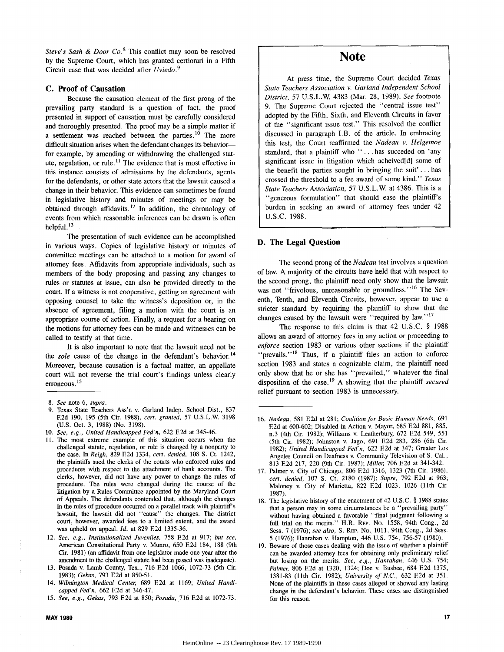*Steve's Sash & Door Co.*<sup>8</sup> This conflict may soon be resolved by the Supreme Court, which has granted certiorari in a Fifth Circuit case that was decided after *Uviedo. <sup>9</sup>*

#### **C. Proof of Causation**

Because the causation element of the first prong of the prevailing party standard is a question of fact, the proof presented in support of causation must be carefully considered and thoroughly presented. The proof may be a simple matter if a settlement was reached between the parties.<sup>10</sup> The more difficult situation arises when the defendant changes its behaviorfor example, by amending or withdrawing the challenged statute, regulation, or rule.<sup>11</sup> The evidence that is most effective in this instance consists of admissions by the defendants, agents for the defendants, or other state actors that the lawsuit caused a change in their behavior. This evidence can sometimes be found in legislative history and minutes of meetings or may be obtained through affidavits.<sup>12</sup> In addition, the chronology of events from which reasonable inferences can be drawn is often helpful. **'3**

The presentation of such evidence can be accomplished in various ways. Copies of legislative history or minutes of committee meetings can be attached to a motion for award of attorney fees. Affidavits from appropriate individuals, such as members of the body proposing and passing any changes to rules or statutes at issue, can also be provided directly to the court. If a witness is not cooperative, getting an agreement with opposing counsel to take the witness's deposition or, in the absence of agreement, filing a motion with the court is an appropriate course of action. Finally, a request for a hearing on the motions for attorney fees can be made and witnesses can be called to testify at that time.

It is also important to note that the lawsuit need not be the *sole* cause of the change in the defendant's behavior.<sup>14</sup> Moreover, because causation is a factual matter, an appellate court will not reverse the trial court's findings unless clearly erroneous. **15**

- 9. Texas State Teachers Ass'n v. Garland Indep. School Dist., 837 **E2d** 190, 195 (5th Cir. 1988), *cert. granted,* 57 U.S.L.W. 3198 (U.S. Oct. 3, 1988) (No. 3198).
- 10. *See, e.g., United Handicapped Fed'n,* 622 E2d at 345-46.
- 11. The most extreme example of this situation occurs when the challenged statute, regulation, or rule is changed by a nonparty to the case. In *Reigh,* 829 **E2d** 1334, *cert. denied,* 108 **S.** Ct. 1242, the plaintiffs sued the clerks of the courts who enforced rules and procedures with respect to the attachment of bank accounts. The clerks, however, did not have any power to change the rules of procedure. The rules were changed during the course of the litigation by a Rules Committee appointed by the Maryland Court of Appeals. The defendants contended that, although the changes in the rules of procedure occurred on a parallel track with plaintiff's lawsuit, the lawsuit did not "cause" the changes. The district court, however, awarded fees to a limited extent, and the award was upheld on appeal. *Id.* at 829 **E2d** 1335-36.
- 12. *See, e.g., Institutionalized Juveniles,* 758 **E2d** at 917; *but see,* American Constitutional Party v. Munro, 650 E2d 184, 188 (9th Cir. 1981) (an affidavit from one legislator made one year after the amendment to the challenged statute had been passed was inadequate).
- 13. Posada v. Lamb County, Tex., 716 **E2d** 1066, 1072-73 (5th Cir. 1983); *Gekas,* 793 **E2d** at 850-51.
- 14. *Wilmington Medical Center,* 689 **E2d** at 1169; *United Handicapped Fed'n,* 662 **E2d** at 346-47.
- 15. *See, e.g., Gekas,* 793 **E2d** at 850; *Posada,* 716 E2d at 1072-73.

## Note

At press time, the Supreme Court decided *Texas State Teachers Association v. Garland Independent School District,* **57 U.S.L.W 4383** (Mar. **28, 1989).** *See* footnote **9.** The Supreme Court rejected the "central issue test" adopted by the Fifth, Sixth, and Eleventh Circuits in favor of the "significant issue test." This resolved the conflict discussed in paragraph I.B. of the article. In embracing this test, the Court reaffirmed the *Nadeau v. Helgemoe* standard, that a plaintiff who "... has succeded on 'any significant issue in litigation which acheived[d] some of the benefit the parties sought in bringing the suit' **. . .** has crossed the threshold to a fee award of some kind." *Texas State Teachers Association, 57 U.S.L.W. at 4386. This is a* "generous formulation" that should ease the plaintiff's burden in seeking an award of attorney fees under 42 U.S.C. 1988.

#### **D. The Legal Question**

The second prong of the *Nadeau* test involves a question of law. **A** majority of the circuits have held that with respect to the second prong, the plaintiff need only show that the lawsuit was not "frivolous, unreasonable or groundless."<sup>16</sup> The Seventh, Tenth, and Eleventh Circuits, however, appear to use a stricter standard **by** requiring the plaintiff to show that the changes caused **by** the lawsuit were "required **by law.'<sup>17</sup>**

The response to this claim is that 42 **U.S.C. § 1988** allows an award of attorney fees in any action or proceeding to enforce section **1983** or various other sections if the plaintiff "prevails."<sup>18</sup> Thus, if a plaintiff files an action to enforce section **1983** and states a cognizable claim, the plaintiff need only show that he or she has "prevailed," whatever the final disposition of the case. <sup>19</sup>**A** showing that the plaintiff *secured* relief pursuant to section **1983** is unnecessary.

- **17.** Palmer v. City of Chicago, **806 F2d 1316, 1323** (7th Cir. **1986),** *cert. denied,* **107 S.** Ct. **2180 (1987);** *Supre,* **792 E2d** at **963;** Maloney v. City of Marietta, 822 **E2d 1023, 1026** (lth Cir. **1987).**
- **18.** The legislative history of the enactment of 42 **U.S.C.** § **1988** states that a person may in some circumstances be a "prevailing party" without having obtained a favorable "final judgment following a full trial on the merits." H.R. REP. No. **1558,** 94th Cong., **2d** Sess. **7 (1976);** *see also,* **S.** REP. No. **1011,** 94th Cong., **2d** Sess. 5 **(1976);** Hanrahan v. Hampton, 446 **U.S.** 754, **756-57 (1980).**
- **19.** Beware of those cases dealing with the issue of whether a plaintiff can be awarded attorney fees for obtaining only preliminary relief but losing on the merits. *See, e.g., Hanrahan,* 446 **U.S.** 754; *Palmer,* **806 E2d** at **1320,** 1324; Doe v. Busbee, 684 **E2d 1375, 1381-83** (lth Cir. **1982);** *University of N.C.,* **632 F2d** at 351. None of the plaintiffs in these cases alleged or showed any lasting change in the defendant's behavior. These cases are distinguished for this reason.

<sup>8.</sup> *See* note **6,** *supra.*

**<sup>16.</sup>** Nadeau, **581 E2d** at **281;** *Coalition for Basic Human Needs,* **691 F2d** at **600-602;** Disabled in Action v. Mayor, **685 E2d 881, 885,** n.3 (4th Cir. **1982);** Williams v. Leatherbury, **672 E2d** 549, **551** (5th Cir. **1982);** Johnston v. Jago, **691 E2d 283, 286** (6th Cir. **1982);** *United Handicapped Fed'n,* 622 **E2d** at 347; Greater Los Angeles Council on Deafness v. Community Television of **S.** Cal., **813 E2d 217,** 220 (9th Cir. **1987);** *Miller,* **706 E2d** at 341-342.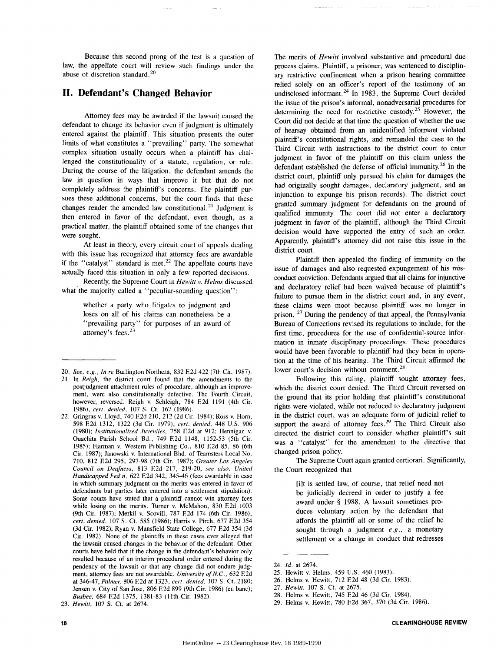Because this second prong of the test is a question of law, the appellate court will review such findings under the abuse of discretion standard. <sup>20</sup>

### **II. Defendant's Changed Behavior**

Attorney fees may be awarded if the lawsuit caused the defendant to change its behavior even if judgment is ultimately entered against the plaintiff. This situation presents the outer limits of what constitutes a "prevailing" party. The somewhat complex situation usually occurs when a plaintiff has challenged the constitutionality of a statute, regulation, or rule. During the course of the litigation, the defendant amends the law in question in ways that improve it but that do not completely address the plaintiff's concerns. The plaintiff pursues these additional concerns, but the court finds that these changes render the amended law constitutional.<sup>21</sup> Judgment is then entered in favor of the defendant, even though, as a practical matter, the plaintiff obtained some of the changes that were sought.

At least in theory, every circuit court of appeals dealing with this issue has recognized that attorney fees are awardable if the "catalyst" standard is met.<sup>22</sup> The appellate courts have actually faced this situation in only a few reported decisions.

Recently, the Supreme Court in *Hewitt v. Helms* discussed what the majority called a "peculiar-sounding question":

> whether a party who litigates to judgment and loses on all of his claims can nonetheless be a "prevailing party" for purposes of an award of attorney's fees. <sup>23</sup>

20. *See, e.g., In re* Burlington Northern, 832 **E2d** 422 (7th Cir. 1987).

The merits of *Hewitt* involved substantive and procedural due process claims. Plaintiff, a prisoner, was sentenced to disciplinary restrictive confinement when a prison hearing committee relied solely on an officer's report of the testimony of an undisclosed informant.<sup>24</sup> In 1983, the Supreme Court decided the issue of the prison's informal, nonadversarial procedures for determining the need for restrictive custody.<sup>25</sup> However, the Court did not decide at that time the question of whether the use of hearsay obtained from an unidentified informant violated plaintiff's constitutional rights, and remanded the case to the Third Circuit with instructions to the district court to enter judgment in favor of the plaintiff on this claim unless the defendant established the defense of official immunity.<sup>26</sup> In the district court, plaintiff only pursued his claim for damages (he had originally sought damages, declaratory judgment, and an injunction to expunge his prison records). The district court granted summary judgment for defendants on the ground of qualified immunity. The court did not enter a declaratory judgment in favor of the plaintiff, although the Third Circuit decision would have supported the entry of such an order. Apparently, plaintiff's attorney did not raise this issue in the district court.

Plaintiff then appealed the finding of immunity on the issue of damages and also requested expungement of his misconduct conviction. Defendants argued that all claims for injunctive and declaratory relief had been waived because of plaintiff's failure to pursue them in the district court and, in any event, these claims were moot because plaintiff was no longer in prison. 27 During the pendency of that appeal, the Pennsylvania Bureau of Corrections revised its regulations to include, for the first time, procedures for the use of confidential-source information in inmate disciplinary proceedings. These procedures would have been favorable to plaintiff had they been in operation at the time of his hearing. The Third Circuit affirmed the lower court's decision without comment.<sup>28</sup>

Following this ruling, plaintiff sought attorney fees, which the district court denied. The Third Circuit reversed on the ground that its prior holding that plaintiff's constitutional rights were violated, while not reduced to declaratory judgment in the district court, was an adequate form of judicial relief to support the award of attorney fees.<sup>29</sup> The Third Circuit also directed the district court to consider whether plaintiff's suit was a "catalyst" for the amendment to the directive that changed prison policy.

The Supreme Court again granted certiorari. Significantly, the Court recognized that

> [i]t is settled law, of course, that relief need not be judicially decreed in order to justify a fee award under **§** 1988. A lawsuit sometimes produces voluntary action by the defendant that affords the plaintiff all or some of the relief he sought through a judgment  $e.g.,$  a monetary settlement or a change in conduct that redresses

25. Hewitt v. Helms, 459 U.S. 460 (1983).

28. Helms v. Hewitt, 745 **F2d** 46 (3d Cir. 1984).

<sup>21.</sup> In *Reigh,* the district court found that the amendments to the postjudgment attachment rules of procedure, although an improvement, were also constitutionally defective. The Fourth Circuit, however, reversed. Reigh v. Schleigh, 784 **E2d** 1191 (4th Cir. 1986), *cert. denied,* 107 **S.** Ct. 167 (1986).

<sup>22.</sup> Gringras v. Lloyd, 740 **E2d** 210, 212 (2d Cir. 1984); Ross v. Horn, 598 **E2d** 1312, 1322 (3d Cir. 1979), *cert. denied,* 448 U.S. 906 (1980); *Institutionalized Juveniles,* 758 **F2d** at 912; Hennigan v. Ouachita Parish School Bd., 749 **F2d** 1148, 1152-53 (5th Cir. 1985); Fiarman v. Western Publishing Co., 810 **E2d** *85,* 86 (6th Cir. 1987); Janowski v. International Bhd. of Teamsters Local No. 710, 812 **F2d** 295, 297-98 (7th Cir. 1987); *Greater* Los *Angeles Council on Deafness,* 813 **E2d** 217, 219-20; *see also, United Handicapped* Fed'n, 622 **F2d** 342, 345-46 (fees awardable in case in which summary judgment on the merits was entered in favor of defendants but parties later entered into a settlement stipulation). Some courts have stated that a plaintiff cannot win attorney fees while losing on the merits. Turner v. McMahon, 830 **F2d** 1003 (9th Cir. 1987); Merkil v. Scovill, 787 **F2d** 174 (6th Cir. 1986), *cert. denied.* 107 **S.** Ct. 585 (1986); Harris v. Pirch, 677 **E2d** 354 (3d Cir. 1982); Ryan v. Mansfield State College, 677 **F2d** 354 (3d Cir. 1982). None of the plaintiffs in these cases ever alleged that the lawsuit caused changes in the behavior of the defendant. Other courts have held that if the change in the defendant's behavior only resulted because of an interim procedural order entered during the pendency of the lawsuit or that any change did not endure judgment, attorney fees are not awardable. *University of N.C.,* 632 **E2d** at 346-47; *Palmer,* 806 **E2d** at 1323, *cert. denied,* 107 **S.** Ct. 2180; Jensen v. City of San Jose, 806 **E2d** 899 (9th Cir. 1986) (en banc); *Busbee,* 684 **F2d** 1375, 1381-83 (11th Cir. 1982).

<sup>23.</sup> *Hewitt,* 107 **S.** Ct. at 2674.

<sup>24.</sup> *Id.* at 2674.

<sup>26.</sup> Helms v. Hewitt, 712 **F2d** 48 (3d Cir. 1983).

<sup>27.</sup> *Hewitt,* 107 **S.** Ct. at 2675.

<sup>29.</sup> Helms v. Hewitt, 780 **E2d** 367, 370 (3d Cir. 1986).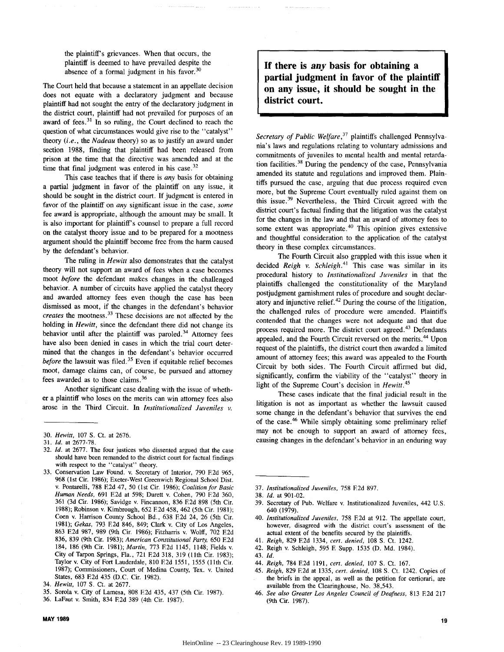the plaintiff's grievances. When that occurs, the plaintiff is deemed to have prevailed despite the absence of a formal judgment in his favor.  $30$ 

The Court held that because a statement in an appellate decision does not equate with a declaratory judgment and because plaintiff had not sought the entry of the declaratory judgment in the district court, plaintiff had not prevailed for purposes of an award of fees. $31$  In so ruling, the Court declined to reach the question of what circumstances would give rise to the "catalyst" theory *(i.e.,* the *Nadeau* theory) so as to justify an award under section 1988, finding that plaintiff had been released from prison at the time that the directive was amended and at the time that final judgment was entered in his case. $32$ 

This case teaches that if there is *any* basis for obtaining a partial judgment in favor of the plaintiff on any issue, it should be sought in the district court. If judgment is entered in favor of the plaintiff on *any* significant issue in the case, *some* fee award is appropriate, although the amount may be small. It is also important for plaintiff's counsel to prepare a full record on the catalyst theory issue and to be prepared for a mootness argument should the plaintiff become free from the harm caused by the defendant's behavior.

The ruling in *Hewitt* also demonstrates that the catalyst theory will not support an award of fees when a case becomes moot *before* the defendant makes changes in the challenged behavior. A number of circuits have applied the catalyst theory and awarded attorney fees even though the case has been dismissed as moot, if the changes in the defendant's behavior *creates* the mootness.<sup>33</sup> These decisions are not affected by the holding in *Hewitt,* since the defendant there did not change its behavior until after the plaintiff was paroled.<sup>34</sup> Attorney fees have also been denied in cases in which the trial court determined that the changes in the defendant's behavior occurred *before* the lawsuit was filed.<sup>35</sup> Even if equitable relief becomes moot, damage claims can, of course, be pursued and attorney fees awarded as to those claims. <sup>36</sup>

Another significant case dealing with the issue of whether a plaintiff who loses on the merits can win attorney fees also arose in the Third Circuit. In *Institutionalized Juveniles v.*

- 32. *Id.* at 2677. The four justices who dissented argued that the case should have been remanded to the district court for factual findings with respect to the "catalyst" theory.
- 33. Conservation Law Found. v. Secretary of Interior, 790 F2d 965, 968 (1st Cir. 1986); Exeter-West Greenwich Regional School Dist. v. Pontarelli, 788 E2d 47, 50 (1st Cir. 1986); *Coalition for Basic Human Needs,* 691 **E2d** at 598; Durett v. Cohen, 790 **E2d** 360, 361 (3d Cir. 1986); Savidge v. Fincannon, 836 **E2d** 898 (5th Cir. 1988); Robinson v. Kimbrough, 652 **F2d** 458, 462 (5th Cir. 1981); Coen v. Harrison County School Bd., 638 E2d 24, 26 (5th Cir. 1981); Gekas, 793 E2d 846, 849; Clark v. City of Los Angeles, 863 **F2d** 987, 989 (9th Cir. 1986); Fitzharris v. Wolff, 702 **E2d** 836, 839 (9th Cir. 1983); *American Constitutional Party,* 650 **F2d** 184, 186 (9th Cir. 1981); *Martin,* 773 F2d 1145, 1148; Fields v. City of Tarpon Springs, Fla., 721 **E2d** 318, 319 (11th Cir. 1983); Taylor v. City of Fort Lauderdale, 810 F2d 1551, 1555 (11th Cit. 1987); Commissioners, Court of Medina County, Tex. v. United States, 683 F2d 435 (D.C. Cir. 1982).

**If there is** *any* **basis for obtaining a partial judgment in favor of the plaintiff on any issue, it should be sought in the district court.**

*Secretary of Public Welfare*,<sup>37</sup> plaintiffs challenged Pennsylvania's laws and regulations relating to voluntary admissions and commitments of juveniles to mental health and mental retardation facilities. 38 During the pendency of the case, Pennsylvania amended its statute and regulations and improved them. Plaintiffs pursued the case, arguing that due process required even more, but the Supreme Court eventually ruled against them on this issue. 39 Nevertheless, the Third Circuit agreed with the district court's factual finding that the litigation was the catalyst for the changes in the law and that an award of attorney fees to some extent was appropriate. $40$  This opinion gives extensive and thoughtful consideration to the application of the catalyst theory in these complex circumstances.

The Fourth Circuit also grappled with this issue when it decided *Reigh v. Schleigh.<sup>41</sup>*This case was similar in its procedural history to *Institutionalized Juveniles* in that the plaintiffs challenged the constitutionality of the Maryland postjudgment garnishment rules of procedure and sought declaratory and injunctive relief. $42$  During the course of the litigation, the challenged rules of procedure were amended. Plaintiffs contended that the changes were not adequate and that due process required more. The district court agreed. 43 Defendants appealed, and the Fourth Circuit reversed on the merits. 44 Upon request of the plaintiffs, the district court then awarded a limited amount of attorney fees; this award was appealed to the Fourth Circuit by both sides. The Fourth Circuit affirmed but did, significantly, confirm the viability of the "catalyst" theory in light of the Supreme Court's decision in *Hewitt.<sup>45</sup>*

These cases indicate that the final judicial result in the litigation is not as important as whether the lawsuit caused some change in the defendant's behavior that survives the end of the case.46 While simply obtaining some preliminary relief may not be enough to support an award of attorney fees, causing changes in the defendant's behavior in an enduring way

- 39. Secretary of Pub. Welfare v. Institutionalized Juveniles, 442 U.S. 640 (1979).
- 40. *Institutionalized Juveniles,* 758 **E2d** at 912. The appellate court, however, disagreed with the district court's assessment of the actual extent of the benefits secured by the plaintiffs.
- 41. *Reigh,* 829 **E2d** 1334, *cert. denied,* 108 **S.** Ct. 1242.
- 42. Reigh v. Schleigh, 595 **E** Supp. 1535 (D. Md. 1984).
- 43. *Id.*
- 44. *Reigh,* 784 E2d 1191, *cert. denied,* 107 S. Ct. 167.

46. *See also Greater Los Angeles Council of Deafness,* 813 **E2d** 217 (9th Cir. 1987).

<sup>30.</sup> *Hewitt,* 107 S. Ct. at 2676.

**<sup>31.</sup>** *Id.* at 2677-78.

*<sup>34.</sup> Hewitt,* 107 **S.** Ct. at 2677.

<sup>35.</sup> Sorola v. City of Lamesa, 808 **E2d** 435, 437 (5th Cir. 1987).

<sup>36.</sup> LaFaut v. Smith, 834 F.2d 389 (4th Cir. 1987).

<sup>37.</sup> *Institutionalized Juveniles,* 758 **F2d** 897.

<sup>38.</sup> *Id.* at 901-02.

<sup>45.</sup> *Reigh,* 829 **E2d** at 1335, *cert. denied,* 108 **S.** Ct. 1242. Copies of the briefs in the appeal, as well as the petition for certiorari, are available from the Clearinghouse, No. 38,543.